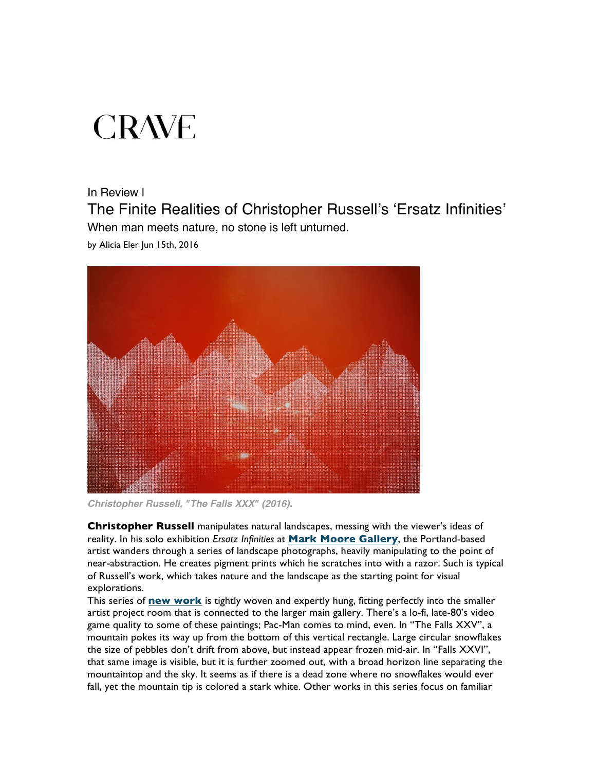## **CRAVE**

## In Review |

The Finite Realities of Christopher Russell's 'Ersatz Infinities' When man meets nature, no stone is left unturned.

by Alicia Eler Jun 15th, 2016



*Christopher Russell, "The Falls XXX" (2016).*

**Christopher Russell** manipulates natural landscapes, messing with the viewer's ideas of reality. In his solo exhibition *Ersatz Infinities* at **Mark Moore Gallery**, the Portland-based artist wanders through a series of landscape photographs, heavily manipulating to the point of near-abstraction. He creates pigment prints which he scratches into with a razor. Such is typical of Russell's work, which takes nature and the landscape as the starting point for visual explorations.

This series of **new work** is tightly woven and expertly hung, fitting perfectly into the smaller artist project room that is connected to the larger main gallery. There's a lo-fi, late-80's video game quality to some of these paintings; Pac-Man comes to mind, even. In "The Falls XXV", a mountain pokes its way up from the bottom of this vertical rectangle. Large circular snowflakes the size of pebbles don't drift from above, but instead appear frozen mid-air. In "Falls XXVI", that same image is visible, but it is further zoomed out, with a broad horizon line separating the mountaintop and the sky. It seems as if there is a dead zone where no snowflakes would ever fall, yet the mountain tip is colored a stark white. Other works in this series focus on familiar